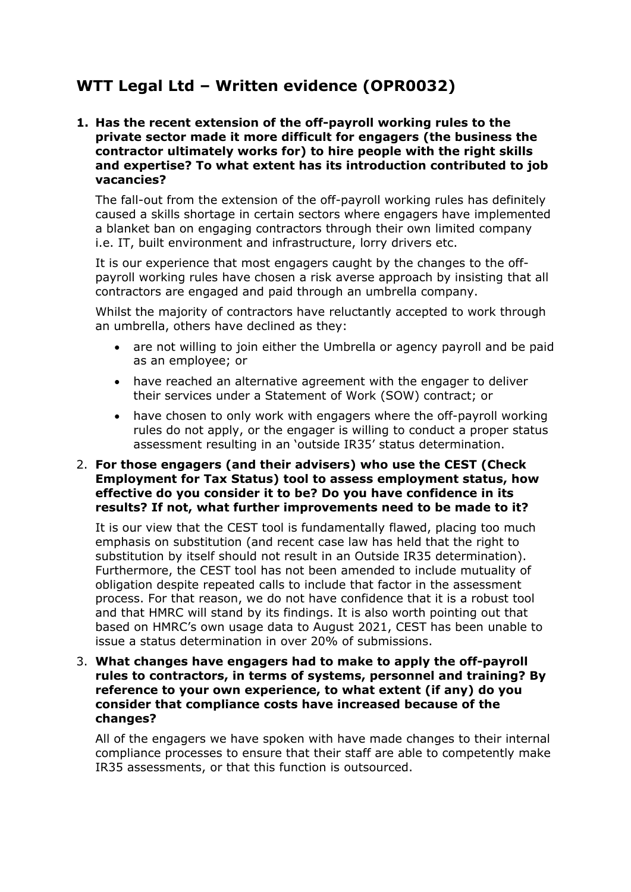# **WTT Legal Ltd – Written evidence (OPR0032)**

**1. Has the recent extension of the off-payroll working rules to the private sector made it more difficult for engagers (the business the contractor ultimately works for) to hire people with the right skills and expertise? To what extent has its introduction contributed to job vacancies?**

The fall-out from the extension of the off-payroll working rules has definitely caused a skills shortage in certain sectors where engagers have implemented a blanket ban on engaging contractors through their own limited company i.e. IT, built environment and infrastructure, lorry drivers etc.

It is our experience that most engagers caught by the changes to the offpayroll working rules have chosen a risk averse approach by insisting that all contractors are engaged and paid through an umbrella company.

Whilst the majority of contractors have reluctantly accepted to work through an umbrella, others have declined as they:

- are not willing to join either the Umbrella or agency payroll and be paid as an employee; or
- have reached an alternative agreement with the engager to deliver their services under a Statement of Work (SOW) contract; or
- have chosen to only work with engagers where the off-payroll working rules do not apply, or the engager is willing to conduct a proper status assessment resulting in an 'outside IR35' status determination.

## 2. **For those engagers (and their advisers) who use the CEST (Check Employment for Tax Status) tool to assess employment status, how effective do you consider it to be? Do you have confidence in its results? If not, what further improvements need to be made to it?**

It is our view that the CEST tool is fundamentally flawed, placing too much emphasis on substitution (and recent case law has held that the right to substitution by itself should not result in an Outside IR35 determination). Furthermore, the CEST tool has not been amended to include mutuality of obligation despite repeated calls to include that factor in the assessment process. For that reason, we do not have confidence that it is a robust tool and that HMRC will stand by its findings. It is also worth pointing out that based on HMRC's own usage data to August 2021, CEST has been unable to issue a status determination in over 20% of submissions.

3. **What changes have engagers had to make to apply the off-payroll rules to contractors, in terms of systems, personnel and training? By reference to your own experience, to what extent (if any) do you consider that compliance costs have increased because of the changes?**

All of the engagers we have spoken with have made changes to their internal compliance processes to ensure that their staff are able to competently make IR35 assessments, or that this function is outsourced.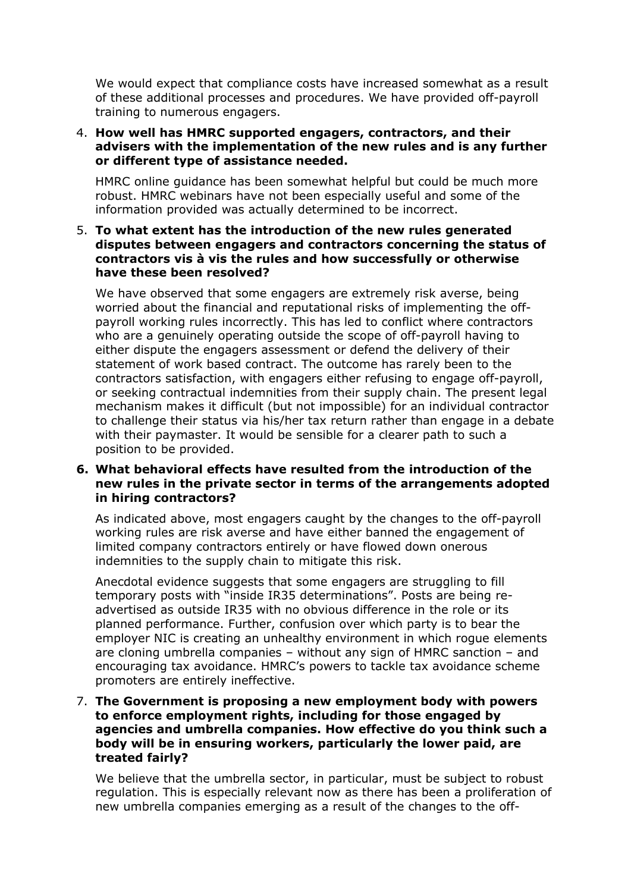We would expect that compliance costs have increased somewhat as a result of these additional processes and procedures. We have provided off-payroll training to numerous engagers.

## 4. **How well has HMRC supported engagers, contractors, and their advisers with the implementation of the new rules and is any further or different type of assistance needed.**

HMRC online guidance has been somewhat helpful but could be much more robust. HMRC webinars have not been especially useful and some of the information provided was actually determined to be incorrect.

# 5. **To what extent has the introduction of the new rules generated disputes between engagers and contractors concerning the status of contractors vis à vis the rules and how successfully or otherwise have these been resolved?**

We have observed that some engagers are extremely risk averse, being worried about the financial and reputational risks of implementing the offpayroll working rules incorrectly. This has led to conflict where contractors who are a genuinely operating outside the scope of off-payroll having to either dispute the engagers assessment or defend the delivery of their statement of work based contract. The outcome has rarely been to the contractors satisfaction, with engagers either refusing to engage off-payroll, or seeking contractual indemnities from their supply chain. The present legal mechanism makes it difficult (but not impossible) for an individual contractor to challenge their status via his/her tax return rather than engage in a debate with their paymaster. It would be sensible for a clearer path to such a position to be provided.

### **6. What behavioral effects have resulted from the introduction of the new rules in the private sector in terms of the arrangements adopted in hiring contractors?**

As indicated above, most engagers caught by the changes to the off-payroll working rules are risk averse and have either banned the engagement of limited company contractors entirely or have flowed down onerous indemnities to the supply chain to mitigate this risk.

Anecdotal evidence suggests that some engagers are struggling to fill temporary posts with "inside IR35 determinations". Posts are being readvertised as outside IR35 with no obvious difference in the role or its planned performance. Further, confusion over which party is to bear the employer NIC is creating an unhealthy environment in which rogue elements are cloning umbrella companies – without any sign of HMRC sanction – and encouraging tax avoidance. HMRC's powers to tackle tax avoidance scheme promoters are entirely ineffective.

## 7. **The Government is proposing a new employment body with powers to enforce employment rights, including for those engaged by agencies and umbrella companies. How effective do you think such a body will be in ensuring workers, particularly the lower paid, are treated fairly?**

We believe that the umbrella sector, in particular, must be subject to robust regulation. This is especially relevant now as there has been a proliferation of new umbrella companies emerging as a result of the changes to the off